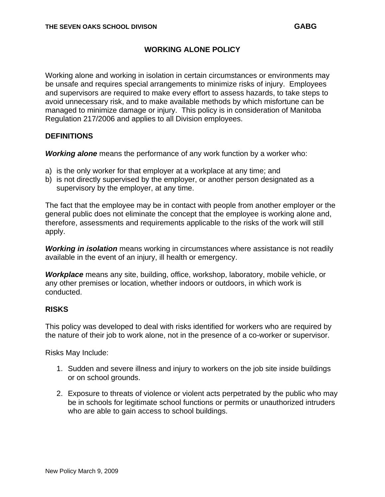## **WORKING ALONE POLICY**

Working alone and working in isolation in certain circumstances or environments may be unsafe and requires special arrangements to minimize risks of injury. Employees and supervisors are required to make every effort to assess hazards, to take steps to avoid unnecessary risk, and to make available methods by which misfortune can be managed to minimize damage or injury. This policy is in consideration of Manitoba Regulation 217/2006 and applies to all Division employees.

## **DEFINITIONS**

*Working alone* means the performance of any work function by a worker who:

- a) is the only worker for that employer at a workplace at any time; and
- b) is not directly supervised by the employer, or another person designated as a supervisory by the employer, at any time.

The fact that the employee may be in contact with people from another employer or the general public does not eliminate the concept that the employee is working alone and, therefore, assessments and requirements applicable to the risks of the work will still apply.

*Working in isolation* means working in circumstances where assistance is not readily available in the event of an injury, ill health or emergency.

*Workplace* means any site, building, office, workshop, laboratory, mobile vehicle, or any other premises or location, whether indoors or outdoors, in which work is conducted.

## **RISKS**

This policy was developed to deal with risks identified for workers who are required by the nature of their job to work alone, not in the presence of a co-worker or supervisor.

Risks May Include:

- 1. Sudden and severe illness and injury to workers on the job site inside buildings or on school grounds.
- 2. Exposure to threats of violence or violent acts perpetrated by the public who may be in schools for legitimate school functions or permits or unauthorized intruders who are able to gain access to school buildings.